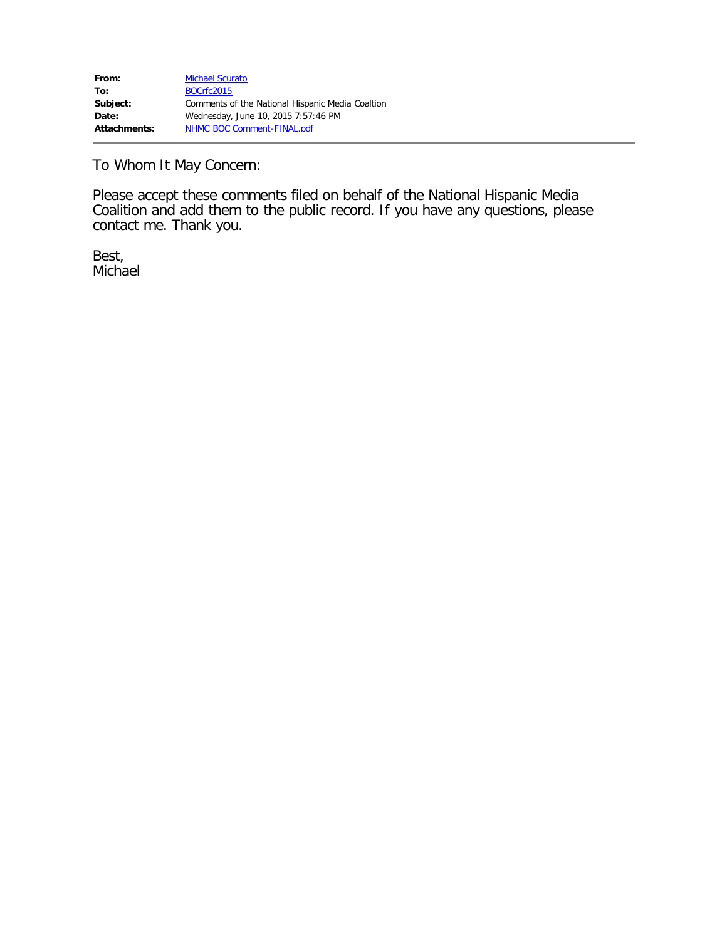To Whom It May Concern:

Please accept these comments filed on behalf of the National Hispanic Media Coalition and add them to the public record. If you have any questions, please contact me. Thank you.

Best, Michael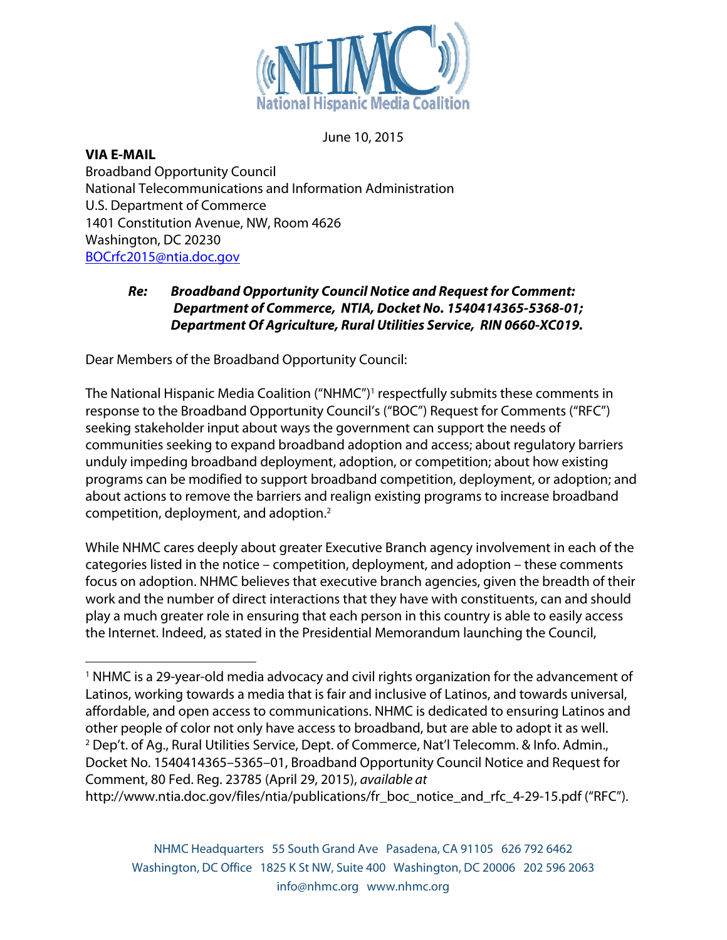

June 10, 2015

#### **VIA E-MAIL**

Broadband Opportunity Council National Telecommunications and Information Administration U.S. Department of Commerce 1401 Constitution Avenue, NW, Room 4626 Washington, DC 20230 BOCrfc2015@ntia.doc.gov

# *Re: Broadband Opportunity Council Notice and Request for Comment: Department of Commerce, NTIA, Docket No. 1540414365-5368-01; Department Of Agriculture, Rural Utilities Service, RIN 0660-XC019.*

Dear Members of the Broadband Opportunity Council:

 

The National Hispanic Media Coalition ("NHMC") <sup>1</sup> respectfully submits these comments in response to the Broadband Opportunity Council's ("BOC") Request for Comments ("RFC") seeking stakeholder input about ways the government can support the needs of communities seeking to expand broadband adoption and access; about regulatory barriers unduly impeding broadband deployment, adoption, or competition; about how existing programs can be modified to support broadband competition, deployment, or adoption; and about actions to remove the barriers and realign existing programs to increase broadband competition, deployment, and adoption.2

While NHMC cares deeply about greater Executive Branch agency involvement in each of the categories listed in the notice – competition, deployment, and adoption – these comments focus on adoption. NHMC believes that executive branch agencies, given the breadth of their work and the number of direct interactions that they have with constituents, can and should play a much greater role in ensuring that each person in this country is able to easily access the Internet. Indeed, as stated in the Presidential Memorandum launching the Council,

<sup>1</sup> NHMC is a 29-year-old media advocacy and civil rights organization for the advancement of Latinos, working towards a media that is fair and inclusive of Latinos, and towards universal, affordable, and open access to communications. NHMC is dedicated to ensuring Latinos and other people of color not only have access to broadband, but are able to adopt it as well. <sup>2</sup> Dep't. of Ag., Rural Utilities Service, Dept. of Commerce, Nat'l Telecomm. & Info. Admin., Docket No. 1540414365–5365–01, Broadband Opportunity Council Notice and Request for Comment, 80 Fed. Reg. 23785 (April 29, 2015), *available at* http://www.ntia.doc.gov/files/ntia/publications/fr\_boc\_notice\_and\_rfc\_4-29-15.pdf ("RFC").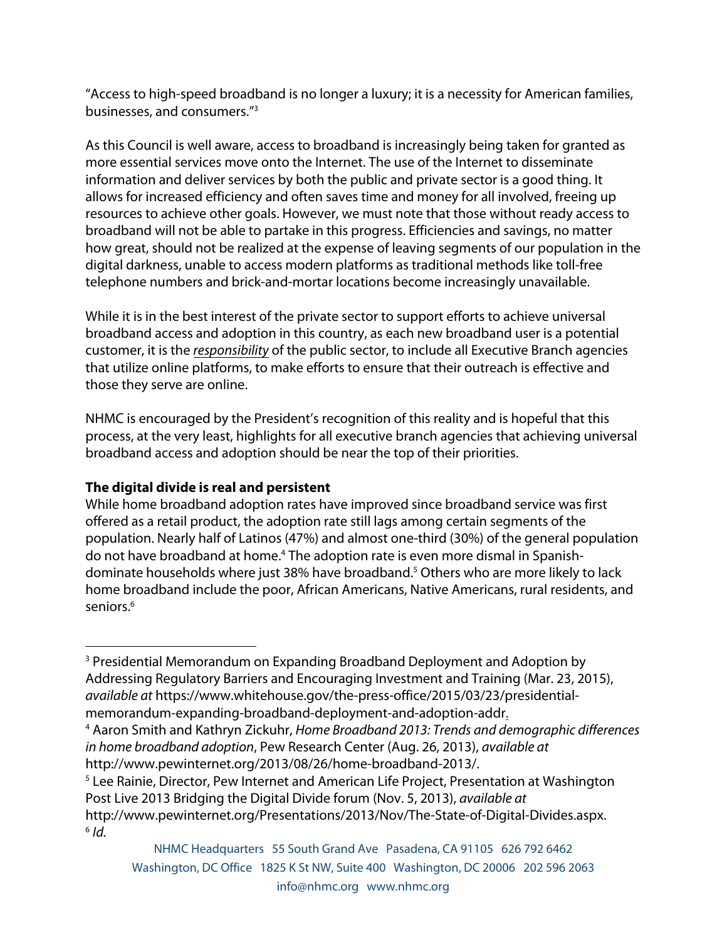"Access to high-speed broadband is no longer a luxury; it is a necessity for American families, businesses, and consumers."3

As this Council is well aware, access to broadband is increasingly being taken for granted as more essential services move onto the Internet. The use of the Internet to disseminate information and deliver services by both the public and private sector is a good thing. It allows for increased efficiency and often saves time and money for all involved, freeing up resources to achieve other goals. However, we must note that those without ready access to broadband will not be able to partake in this progress. Efficiencies and savings, no matter how great, should not be realized at the expense of leaving segments of our population in the digital darkness, unable to access modern platforms as traditional methods like toll-free telephone numbers and brick-and-mortar locations become increasingly unavailable.

While it is in the best interest of the private sector to support efforts to achieve universal broadband access and adoption in this country, as each new broadband user is a potential customer, it is the *responsibility* of the public sector, to include all Executive Branch agencies that utilize online platforms, to make efforts to ensure that their outreach is effective and those they serve are online.

NHMC is encouraged by the President's recognition of this reality and is hopeful that this process, at the very least, highlights for all executive branch agencies that achieving universal broadband access and adoption should be near the top of their priorities.

# **The digital divide is real and persistent**

While home broadband adoption rates have improved since broadband service was first offered as a retail product, the adoption rate still lags among certain segments of the population. Nearly half of Latinos (47%) and almost one-third (30%) of the general population do not have broadband at home.4 The adoption rate is even more dismal in Spanishdominate households where just 38% have broadband.5 Others who are more likely to lack home broadband include the poor, African Americans, Native Americans, rural residents, and seniors.<sup>6</sup>

 <sup>3</sup> Presidential Memorandum on Expanding Broadband Deployment and Adoption by Addressing Regulatory Barriers and Encouraging Investment and Training (Mar. 23, 2015), *available at* https://www.whitehouse.gov/the-press-office/2015/03/23/presidentialmemorandum-expanding-broadband-deployment-and-adoption-addr.

http://www.pewinternet.org/2013/08/26/home-broadband-2013/.<br><sup>5</sup> Lee Rainie, Director, Pew Internet and American Life Project, Presentation at Washington Post Live 2013 Bridging the Digital Divide forum (Nov. 5, 2013), *available at* http://www.pewinternet.org/Presentations/2013/Nov/The-State-of-Digital-Divides.aspx.

 $6$  *Id.* 

<sup>4</sup> Aaron Smith and Kathryn Zickuhr, *Home Broadband 2013: Trends and demographic differences in home broadband adoption*, Pew Research Center (Aug. 26, 2013), *available at*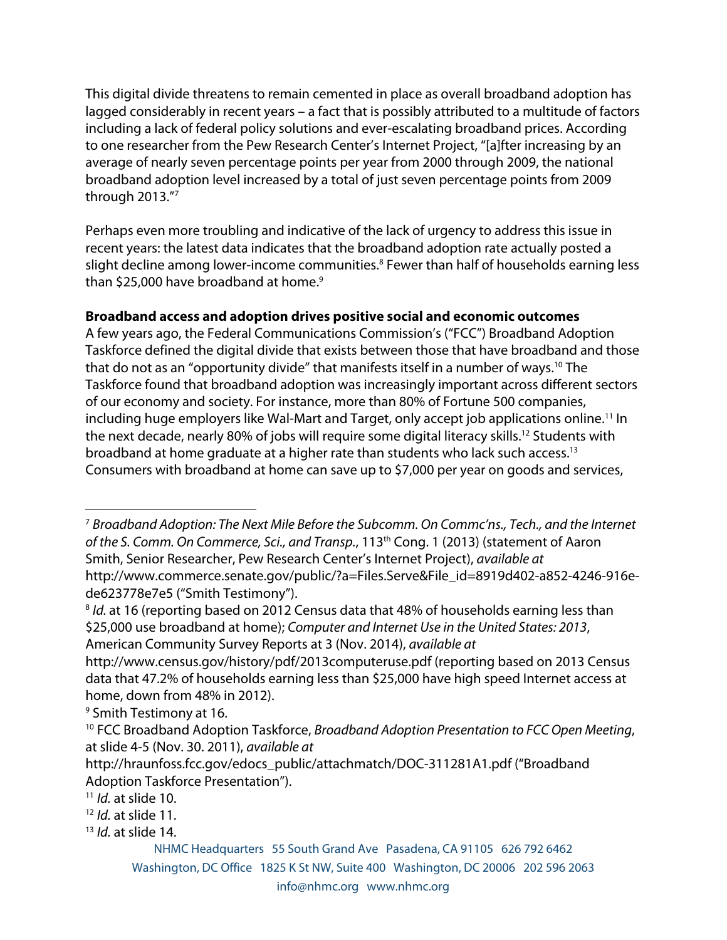This digital divide threatens to remain cemented in place as overall broadband adoption has lagged considerably in recent years – a fact that is possibly attributed to a multitude of factors including a lack of federal policy solutions and ever-escalating broadband prices. According to one researcher from the Pew Research Center's Internet Project, "[a]fter increasing by an average of nearly seven percentage points per year from 2000 through 2009, the national broadband adoption level increased by a total of just seven percentage points from 2009 through 2013."7

Perhaps even more troubling and indicative of the lack of urgency to address this issue in recent years: the latest data indicates that the broadband adoption rate actually posted a slight decline among lower-income communities.<sup>8</sup> Fewer than half of households earning less than \$25,000 have broadband at home.<sup>9</sup>

# **Broadband access and adoption drives positive social and economic outcomes**

A few years ago, the Federal Communications Commission's ("FCC") Broadband Adoption Taskforce defined the digital divide that exists between those that have broadband and those that do not as an "opportunity divide" that manifests itself in a number of ways.10 The Taskforce found that broadband adoption was increasingly important across different sectors of our economy and society. For instance, more than 80% of Fortune 500 companies, including huge employers like Wal-Mart and Target, only accept job applications online.<sup>11</sup> In the next decade, nearly 80% of jobs will require some digital literacy skills.<sup>12</sup> Students with broadband at home graduate at a higher rate than students who lack such access.13 Consumers with broadband at home can save up to \$7,000 per year on goods and services,

<sup>9</sup> Smith Testimony at 16.

 

<sup>13</sup> *Id.* at slide 14.

<sup>7</sup> *Broadband Adoption: The Next Mile Before the Subcomm. On Commc'ns., Tech., and the Internet of the S. Comm. On Commerce, Sci., and Transp.*, 113th Cong. 1 (2013) (statement of Aaron Smith, Senior Researcher, Pew Research Center's Internet Project), *available at*  http://www.commerce.senate.gov/public/?a=Files.Serve&File\_id=8919d402-a852-4246-916ede623778e7e5 ("Smith Testimony").

<sup>&</sup>lt;sup>8</sup> *Id.* at 16 (reporting based on 2012 Census data that 48% of households earning less than \$25,000 use broadband at home); *Computer and Internet Use in the United States: 2013*, American Community Survey Reports at 3 (Nov. 2014), *available at* 

http://www.census.gov/history/pdf/2013computeruse.pdf (reporting based on 2013 Census data that 47.2% of households earning less than \$25,000 have high speed Internet access at home, down from 48% in 2012).

<sup>10</sup> FCC Broadband Adoption Taskforce, *Broadband Adoption Presentation to FCC Open Meeting*, at slide 4-5 (Nov. 30. 2011), *available at*

http://hraunfoss.fcc.gov/edocs\_public/attachmatch/DOC-311281A1.pdf ("Broadband Adoption Taskforce Presentation").

<sup>11</sup> *Id.* at slide 10.

<sup>12</sup> *Id.* at slide 11.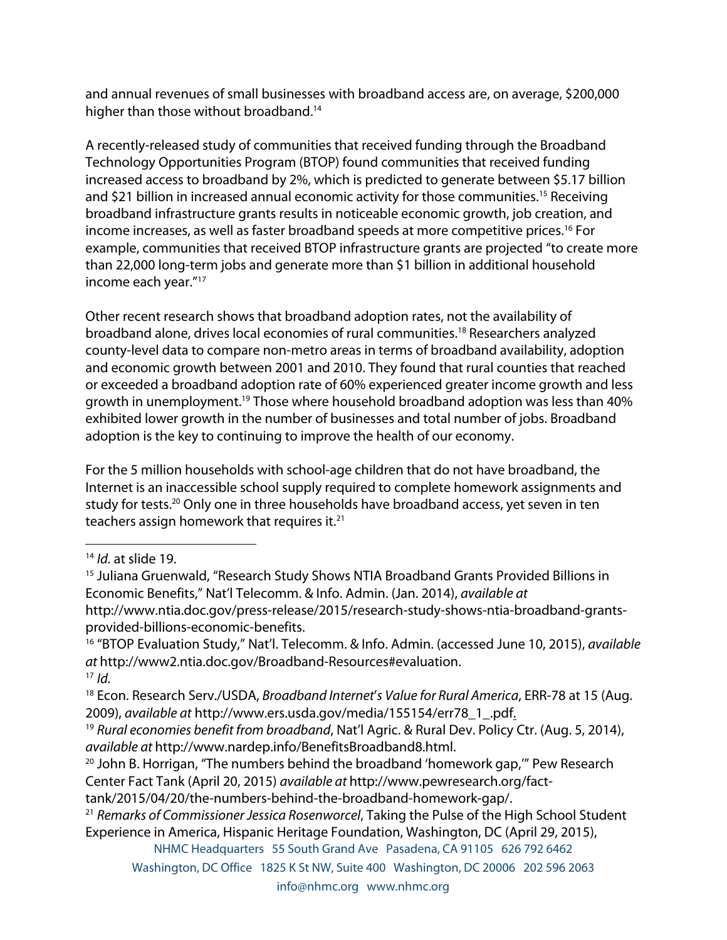and annual revenues of small businesses with broadband access are, on average, \$200,000 higher than those without broadband.<sup>14</sup>

A recently-released study of communities that received funding through the Broadband Technology Opportunities Program (BTOP) found communities that received funding increased access to broadband by 2%, which is predicted to generate between \$5.17 billion and \$21 billion in increased annual economic activity for those communities.<sup>15</sup> Receiving broadband infrastructure grants results in noticeable economic growth, job creation, and income increases, as well as faster broadband speeds at more competitive prices.<sup>16</sup> For example, communities that received BTOP infrastructure grants are projected "to create more than 22,000 long-term jobs and generate more than \$1 billion in additional household income each year."17

Other recent research shows that broadband adoption rates, not the availability of broadband alone, drives local economies of rural communities. <sup>18</sup> Researchers analyzed county-level data to compare non-metro areas in terms of broadband availability, adoption and economic growth between 2001 and 2010. They found that rural counties that reached or exceeded a broadband adoption rate of 60% experienced greater income growth and less growth in unemployment.<sup>19</sup> Those where household broadband adoption was less than 40% exhibited lower growth in the number of businesses and total number of jobs. Broadband adoption is the key to continuing to improve the health of our economy.

For the 5 million households with school-age children that do not have broadband, the Internet is an inaccessible school supply required to complete homework assignments and study for tests.<sup>20</sup> Only one in three households have broadband access, yet seven in ten teachers assign homework that requires it.21

 

NHMC Headquarters 55 South Grand Ave Pasadena, CA 91105 626 792 6462

Washington, DC Office 1825 K St NW, Suite 400 Washington, DC 20006 202 596 2063

<sup>14</sup> *Id.* at slide 19.

<sup>&</sup>lt;sup>15</sup> Juliana Gruenwald, "Research Study Shows NTIA Broadband Grants Provided Billions in Economic Benefits," Nat'l Telecomm. & Info. Admin. (Jan. 2014), *available at*  http://www.ntia.doc.gov/press-release/2015/research-study-shows-ntia-broadband-grantsprovided-billions-economic-benefits.

<sup>16</sup> "BTOP Evaluation Study," Nat'l. Telecomm. & Info. Admin. (accessed June 10, 2015), *available at* http://www2.ntia.doc.gov/Broadband-Resources#evaluation.  $17$  *Id.* 

<sup>18</sup> Econ. Research Serv./USDA, *Broadband Internet*'*s Value for Rural America*, ERR-78 at 15 (Aug. 2009), *available at* http://www.ers.usda.gov/media/155154/err78\_1\_.pdf.

<sup>19</sup> *Rural economies benefit from broadband*, Nat'l Agric. & Rural Dev. Policy Ctr. (Aug. 5, 2014),

*available at* http://www.nardep.info/BenefitsBroadband8.html. 20 John B. Horrigan, "The numbers behind the broadband 'homework gap,'" Pew Research Center Fact Tank (April 20, 2015) *available at* http://www.pewresearch.org/facttank/2015/04/20/the-numbers-behind-the-broadband-homework-gap/.

<sup>21</sup> *Remarks of Commissioner Jessica Rosenworcel*, Taking the Pulse of the High School Student Experience in America, Hispanic Heritage Foundation, Washington, DC (April 29, 2015),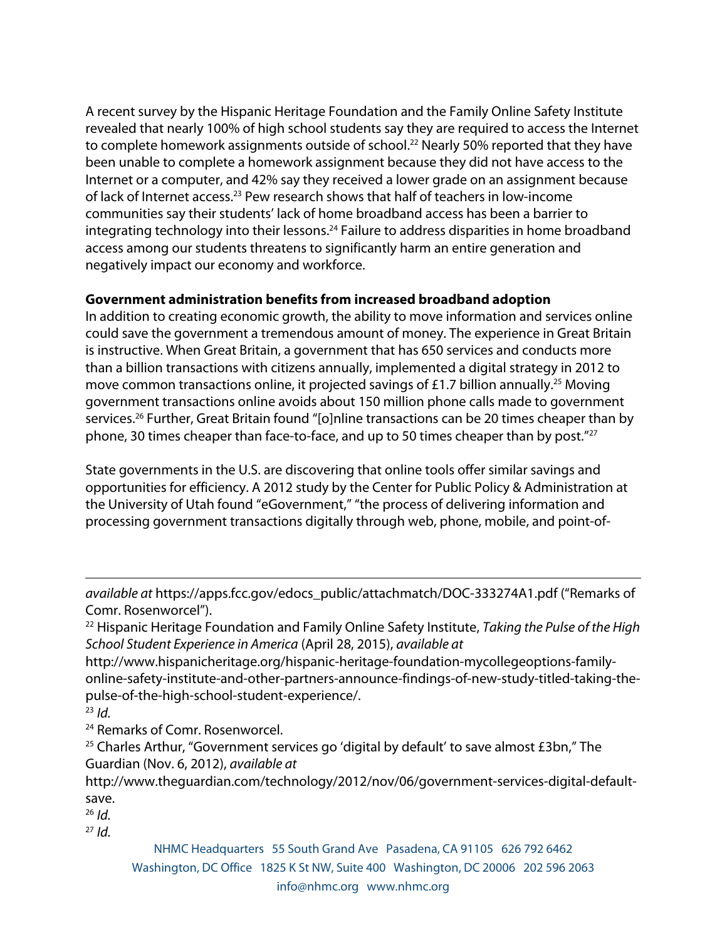A recent survey by the Hispanic Heritage Foundation and the Family Online Safety Institute revealed that nearly 100% of high school students say they are required to access the Internet to complete homework assignments outside of school.<sup>22</sup> Nearly 50% reported that they have been unable to complete a homework assignment because they did not have access to the Internet or a computer, and 42% say they received a lower grade on an assignment because of lack of Internet access.23 Pew research shows that half of teachers in low-income communities say their students' lack of home broadband access has been a barrier to integrating technology into their lessons.<sup>24</sup> Failure to address disparities in home broadband access among our students threatens to significantly harm an entire generation and negatively impact our economy and workforce.

### **Government administration benefits from increased broadband adoption**

In addition to creating economic growth, the ability to move information and services online could save the government a tremendous amount of money. The experience in Great Britain is instructive. When Great Britain, a government that has 650 services and conducts more than a billion transactions with citizens annually, implemented a digital strategy in 2012 to move common transactions online, it projected savings of £1.7 billion annually.<sup>25</sup> Moving government transactions online avoids about 150 million phone calls made to government services.<sup>26</sup> Further, Great Britain found "[o]nline transactions can be 20 times cheaper than by phone, 30 times cheaper than face-to-face, and up to 50 times cheaper than by post."27

State governments in the U.S. are discovering that online tools offer similar savings and opportunities for efficiency. A 2012 study by the Center for Public Policy & Administration at the University of Utah found "eGovernment," "the process of delivering information and processing government transactions digitally through web, phone, mobile, and point-of-

<u> 1989 - Andrea San Andrea San Andrea San Andrea San Andrea San Andrea San Andrea San Andrea San Andrea San An</u>

<sup>23</sup> *Id.*

<sup>24</sup> Remarks of Comr. Rosenworcel.

 $25$  Charles Arthur, "Government services go 'digital by default' to save almost £3bn," The Guardian (Nov. 6, 2012), *available at*

http://www.theguardian.com/technology/2012/nov/06/government-services-digital-defaultsave.

<sup>26</sup> *Id.*

<sup>27</sup> *Id.*

*available at* https://apps.fcc.gov/edocs\_public/attachmatch/DOC-333274A1.pdf ("Remarks of Comr. Rosenworcel").

<sup>22</sup> Hispanic Heritage Foundation and Family Online Safety Institute, *Taking the Pulse of the High School Student Experience in America* (April 28, 2015), *available at*

http://www.hispanicheritage.org/hispanic-heritage-foundation-mycollegeoptions-familyonline-safety-institute-and-other-partners-announce-findings-of-new-study-titled-taking-thepulse-of-the-high-school-student-experience/.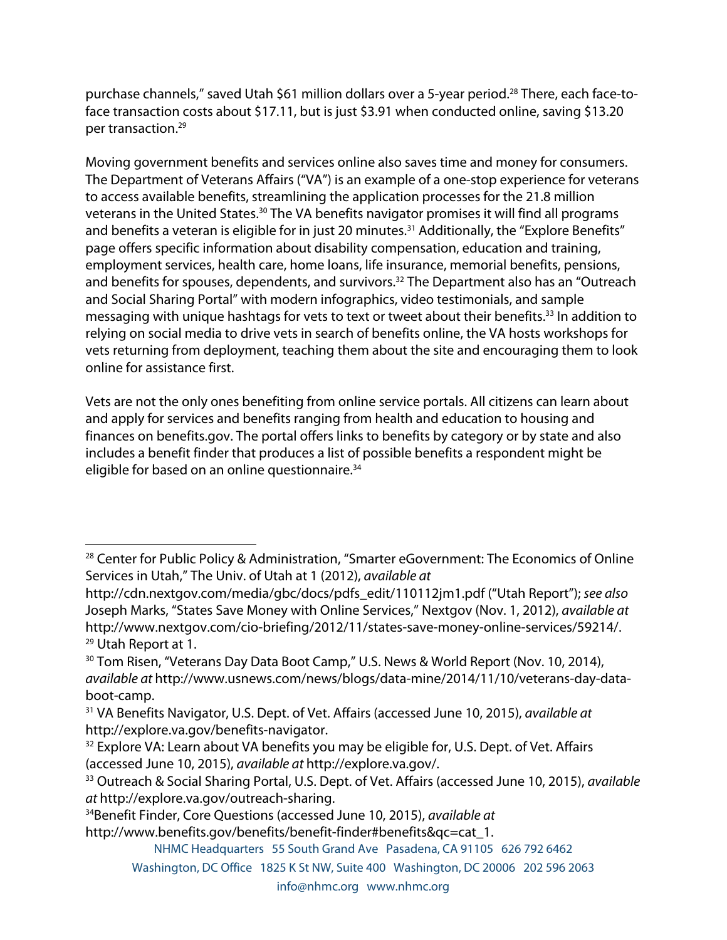purchase channels," saved Utah \$61 million dollars over a 5-year period.<sup>28</sup> There, each face-toface transaction costs about \$17.11, but is just \$3.91 when conducted online, saving \$13.20 per transaction.29

Moving government benefits and services online also saves time and money for consumers. The Department of Veterans Affairs ("VA") is an example of a one-stop experience for veterans to access available benefits, streamlining the application processes for the 21.8 million veterans in the United States.<sup>30</sup> The VA benefits navigator promises it will find all programs and benefits a veteran is eligible for in just 20 minutes.<sup>31</sup> Additionally, the "Explore Benefits" page offers specific information about disability compensation, education and training, employment services, health care, home loans, life insurance, memorial benefits, pensions, and benefits for spouses, dependents, and survivors.<sup>32</sup> The Department also has an "Outreach and Social Sharing Portal" with modern infographics, video testimonials, and sample messaging with unique hashtags for vets to text or tweet about their benefits.<sup>33</sup> In addition to relying on social media to drive vets in search of benefits online, the VA hosts workshops for vets returning from deployment, teaching them about the site and encouraging them to look online for assistance first.

Vets are not the only ones benefiting from online service portals. All citizens can learn about and apply for services and benefits ranging from health and education to housing and finances on benefits.gov. The portal offers links to benefits by category or by state and also includes a benefit finder that produces a list of possible benefits a respondent might be eligible for based on an online questionnaire. 34

34Benefit Finder, Core Questions (accessed June 10, 2015), *available at*  http://www.benefits.gov/benefits/benefit-finder#benefits&qc=cat\_1.

 <sup>28</sup> Center for Public Policy & Administration, "Smarter eGovernment: The Economics of Online Services in Utah," The Univ. of Utah at 1 (2012), *available at*

http://cdn.nextgov.com/media/gbc/docs/pdfs\_edit/110112jm1.pdf ("Utah Report"); *see also* Joseph Marks, "States Save Money with Online Services," Nextgov (Nov. 1, 2012), *available at*  http://www.nextgov.com/cio-briefing/2012/11/states-save-money-online-services/59214/. <sup>29</sup> Utah Report at 1.

<sup>&</sup>lt;sup>30</sup> Tom Risen, "Veterans Day Data Boot Camp," U.S. News & World Report (Nov. 10, 2014), *available at* http://www.usnews.com/news/blogs/data-mine/2014/11/10/veterans-day-databoot-camp.

<sup>31</sup> VA Benefits Navigator, U.S. Dept. of Vet. Affairs (accessed June 10, 2015), *available at*  http://explore.va.gov/benefits-navigator.

<sup>&</sup>lt;sup>32</sup> Explore VA: Learn about VA benefits you may be eligible for, U.S. Dept. of Vet. Affairs (accessed June 10, 2015), *available at* http://explore.va.gov/.

<sup>33</sup> Outreach & Social Sharing Portal, U.S. Dept. of Vet. Affairs (accessed June 10, 2015), *available at* http://explore.va.gov/outreach-sharing.

NHMC Headquarters 55 South Grand Ave Pasadena, CA 91105 626 792 6462

Washington, DC Office 1825 K St NW, Suite 400 Washington, DC 20006 202 596 2063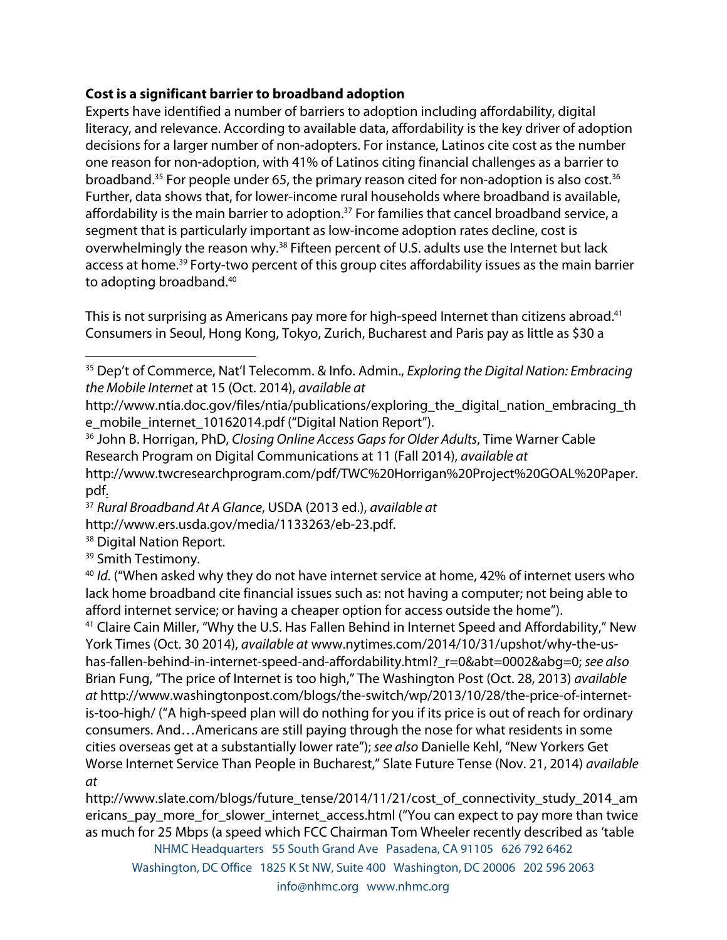### **Cost is a significant barrier to broadband adoption**

Experts have identified a number of barriers to adoption including affordability, digital literacy, and relevance. According to available data, affordability is the key driver of adoption decisions for a larger number of non-adopters. For instance, Latinos cite cost as the number one reason for non-adoption, with 41% of Latinos citing financial challenges as a barrier to broadband.<sup>35</sup> For people under 65, the primary reason cited for non-adoption is also cost.<sup>36</sup> Further, data shows that, for lower-income rural households where broadband is available, affordability is the main barrier to adoption.<sup>37</sup> For families that cancel broadband service, a segment that is particularly important as low-income adoption rates decline, cost is overwhelmingly the reason why.<sup>38</sup> Fifteen percent of U.S. adults use the Internet but lack access at home.<sup>39</sup> Forty-two percent of this group cites affordability issues as the main barrier to adopting broadband.40

This is not surprising as Americans pay more for high-speed Internet than citizens abroad.<sup>41</sup> Consumers in Seoul, Hong Kong, Tokyo, Zurich, Bucharest and Paris pay as little as \$30 a

<sup>36</sup> John B. Horrigan, PhD, *Closing Online Access Gaps for Older Adults*, Time Warner Cable Research Program on Digital Communications at 11 (Fall 2014), *available at* http://www.twcresearchprogram.com/pdf/TWC%20Horrigan%20Project%20GOAL%20Paper. pdf.

http://www.ers.usda.gov/media/1133263/eb-23.pdf.<br><sup>38</sup> Digital Nation Report.

 

<sup>39</sup> Smith Testimony.

<sup>40</sup> *Id.* ("When asked why they do not have internet service at home, 42% of internet users who lack home broadband cite financial issues such as: not having a computer; not being able to afford internet service; or having a cheaper option for access outside the home").

<sup>41</sup> Claire Cain Miller, "Why the U.S. Has Fallen Behind in Internet Speed and Affordability," New York Times (Oct. 30 2014), *available at* www.nytimes.com/2014/10/31/upshot/why-the-ushas-fallen-behind-in-internet-speed-and-affordability.html?\_r=0&abt=0002&abg=0; *see also*  Brian Fung, "The price of Internet is too high," The Washington Post (Oct. 28, 2013) *available at* http://www.washingtonpost.com/blogs/the-switch/wp/2013/10/28/the-price-of-internetis-too-high/ ("A high-speed plan will do nothing for you if its price is out of reach for ordinary consumers. And…Americans are still paying through the nose for what residents in some cities overseas get at a substantially lower rate"); *see also* Danielle Kehl, "New Yorkers Get Worse Internet Service Than People in Bucharest," Slate Future Tense (Nov. 21, 2014) *available at*

http://www.slate.com/blogs/future\_tense/2014/11/21/cost\_of\_connectivity\_study\_2014\_am ericans\_pay\_more\_for\_slower\_internet\_access.html ("You can expect to pay more than twice as much for 25 Mbps (a speed which FCC Chairman Tom Wheeler recently described as 'table

<sup>35</sup> Dep't of Commerce, Nat'l Telecomm. & Info. Admin., *Exploring the Digital Nation: Embracing the Mobile Internet* at 15 (Oct. 2014), *available at*

http://www.ntia.doc.gov/files/ntia/publications/exploring\_the\_digital\_nation\_embracing\_th e\_mobile\_internet\_10162014.pdf ("Digital Nation Report").

<sup>37</sup> *Rural Broadband At A Glance*, USDA (2013 ed.), *available at*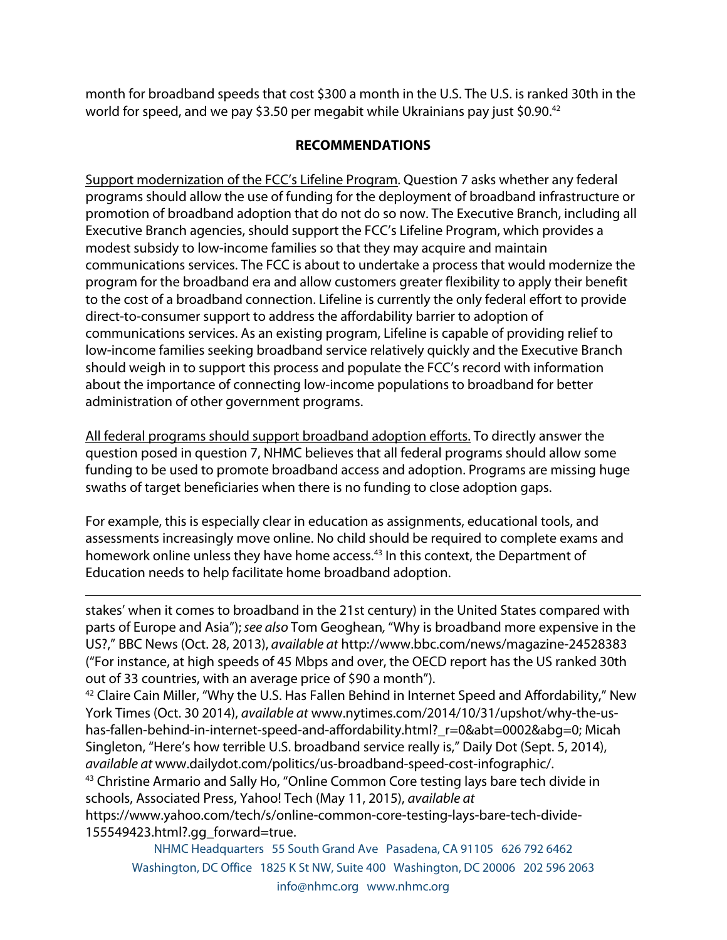month for broadband speeds that cost \$300 a month in the U.S. The U.S. is ranked 30th in the world for speed, and we pay \$3.50 per megabit while Ukrainians pay just \$0.90.<sup>42</sup>

### **RECOMMENDATIONS**

Support modernization of the FCC's Lifeline Program. Question 7 asks whether any federal programs should allow the use of funding for the deployment of broadband infrastructure or promotion of broadband adoption that do not do so now. The Executive Branch, including all Executive Branch agencies, should support the FCC's Lifeline Program, which provides a modest subsidy to low-income families so that they may acquire and maintain communications services. The FCC is about to undertake a process that would modernize the program for the broadband era and allow customers greater flexibility to apply their benefit to the cost of a broadband connection. Lifeline is currently the only federal effort to provide direct-to-consumer support to address the affordability barrier to adoption of communications services. As an existing program, Lifeline is capable of providing relief to low-income families seeking broadband service relatively quickly and the Executive Branch should weigh in to support this process and populate the FCC's record with information about the importance of connecting low-income populations to broadband for better administration of other government programs.

All federal programs should support broadband adoption efforts. To directly answer the question posed in question 7, NHMC believes that all federal programs should allow some funding to be used to promote broadband access and adoption. Programs are missing huge swaths of target beneficiaries when there is no funding to close adoption gaps.

For example, this is especially clear in education as assignments, educational tools, and assessments increasingly move online. No child should be required to complete exams and homework online unless they have home access.<sup>43</sup> In this context, the Department of Education needs to help facilitate home broadband adoption.

stakes' when it comes to broadband in the 21st century) in the United States compared with parts of Europe and Asia");*see also* Tom Geoghean*,* "Why is broadband more expensive in the US?," BBC News (Oct. 28, 2013), *available at* http://www.bbc.com/news/magazine-24528383 ("For instance, at high speeds of 45 Mbps and over, the OECD report has the US ranked 30th out of 33 countries, with an average price of \$90 a month").

<u> 1989 - Andrea Santa Andrea Santa Andrea Santa Andrea Santa Andrea Santa Andrea Santa Andrea Santa Andrea San</u>

<sup>42</sup> Claire Cain Miller, "Why the U.S. Has Fallen Behind in Internet Speed and Affordability," New York Times (Oct. 30 2014), *available at* www.nytimes.com/2014/10/31/upshot/why-the-ushas-fallen-behind-in-internet-speed-and-affordability.html?\_r=0&abt=0002&abg=0; Micah Singleton, "Here's how terrible U.S. broadband service really is," Daily Dot (Sept. 5, 2014), *available at* www.dailydot.com/politics/us-broadband-speed-cost-infographic/. <sup>43</sup> Christine Armario and Sally Ho, "Online Common Core testing lays bare tech divide in schools, Associated Press, Yahoo! Tech (May 11, 2015), *available at* 

https://www.yahoo.com/tech/s/online-common-core-testing-lays-bare-tech-divide-155549423.html?.gg\_forward=true.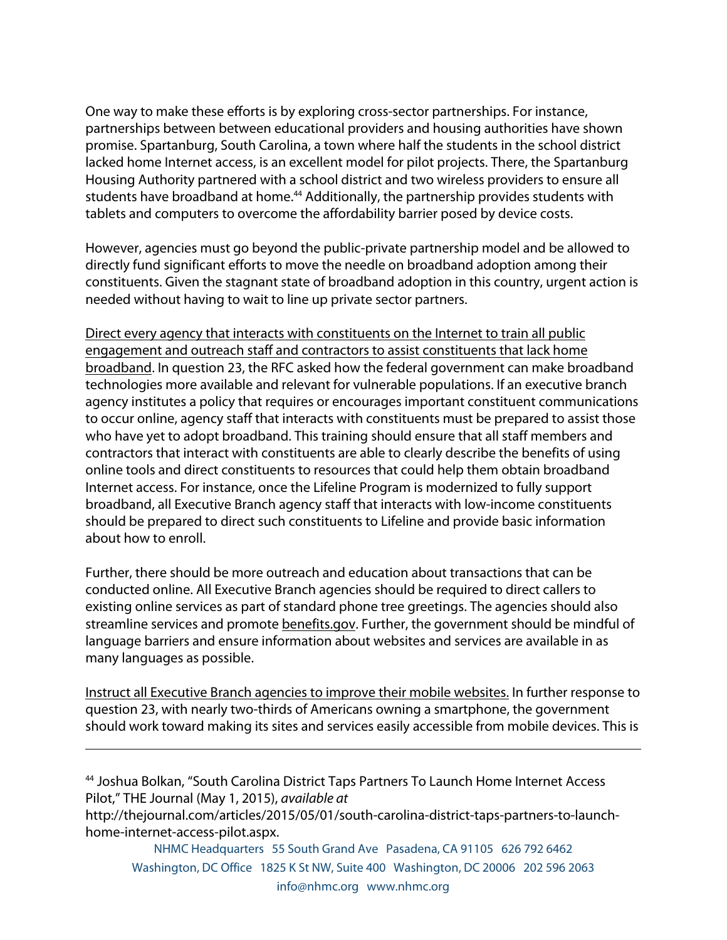One way to make these efforts is by exploring cross-sector partnerships. For instance, partnerships between between educational providers and housing authorities have shown promise. Spartanburg, South Carolina, a town where half the students in the school district lacked home Internet access, is an excellent model for pilot projects. There, the Spartanburg Housing Authority partnered with a school district and two wireless providers to ensure all students have broadband at home.<sup>44</sup> Additionally, the partnership provides students with tablets and computers to overcome the affordability barrier posed by device costs.

However, agencies must go beyond the public-private partnership model and be allowed to directly fund significant efforts to move the needle on broadband adoption among their constituents. Given the stagnant state of broadband adoption in this country, urgent action is needed without having to wait to line up private sector partners.

Direct every agency that interacts with constituents on the Internet to train all public engagement and outreach staff and contractors to assist constituents that lack home broadband. In question 23, the RFC asked how the federal government can make broadband technologies more available and relevant for vulnerable populations. If an executive branch agency institutes a policy that requires or encourages important constituent communications to occur online, agency staff that interacts with constituents must be prepared to assist those who have yet to adopt broadband. This training should ensure that all staff members and contractors that interact with constituents are able to clearly describe the benefits of using online tools and direct constituents to resources that could help them obtain broadband Internet access. For instance, once the Lifeline Program is modernized to fully support broadband, all Executive Branch agency staff that interacts with low-income constituents should be prepared to direct such constituents to Lifeline and provide basic information about how to enroll.

Further, there should be more outreach and education about transactions that can be conducted online. All Executive Branch agencies should be required to direct callers to existing online services as part of standard phone tree greetings. The agencies should also streamline services and promote benefits.gov. Further, the government should be mindful of language barriers and ensure information about websites and services are available in as many languages as possible.

Instruct all Executive Branch agencies to improve their mobile websites. In further response to question 23, with nearly two-thirds of Americans owning a smartphone, the government should work toward making its sites and services easily accessible from mobile devices. This is

<u> 1989 - Andrea San Andrea San Andrea San Andrea San Andrea San Andrea San Andrea San Andrea San Andrea San An</u>

<sup>44</sup> Joshua Bolkan, "South Carolina District Taps Partners To Launch Home Internet Access Pilot," THE Journal (May 1, 2015), *available at* 

http://thejournal.com/articles/2015/05/01/south-carolina-district-taps-partners-to-launchhome-internet-access-pilot.aspx.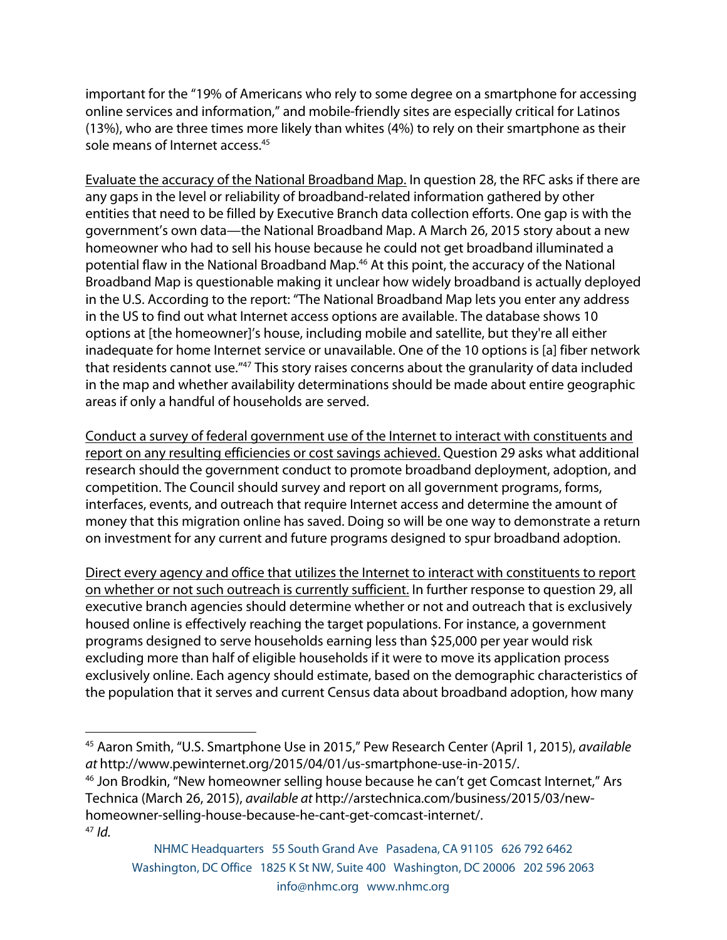important for the "19% of Americans who rely to some degree on a smartphone for accessing online services and information," and mobile-friendly sites are especially critical for Latinos (13%), who are three times more likely than whites (4%) to rely on their smartphone as their sole means of Internet access.<sup>45</sup>

Evaluate the accuracy of the National Broadband Map. In question 28, the RFC asks if there are any gaps in the level or reliability of broadband-related information gathered by other entities that need to be filled by Executive Branch data collection efforts. One gap is with the government's own data—the National Broadband Map. A March 26, 2015 story about a new homeowner who had to sell his house because he could not get broadband illuminated a potential flaw in the National Broadband Map.<sup>46</sup> At this point, the accuracy of the National Broadband Map is questionable making it unclear how widely broadband is actually deployed in the U.S. According to the report: "The National Broadband Map lets you enter any address in the US to find out what Internet access options are available. The database shows 10 options at [the homeowner]'s house, including mobile and satellite, but they're all either inadequate for home Internet service or unavailable. One of the 10 options is [a] fiber network that residents cannot use."47 This story raises concerns about the granularity of data included in the map and whether availability determinations should be made about entire geographic areas if only a handful of households are served.

Conduct a survey of federal government use of the Internet to interact with constituents and report on any resulting efficiencies or cost savings achieved. Question 29 asks what additional research should the government conduct to promote broadband deployment, adoption, and competition. The Council should survey and report on all government programs, forms, interfaces, events, and outreach that require Internet access and determine the amount of money that this migration online has saved. Doing so will be one way to demonstrate a return on investment for any current and future programs designed to spur broadband adoption.

Direct every agency and office that utilizes the Internet to interact with constituents to report on whether or not such outreach is currently sufficient. In further response to question 29, all executive branch agencies should determine whether or not and outreach that is exclusively housed online is effectively reaching the target populations. For instance, a government programs designed to serve households earning less than \$25,000 per year would risk excluding more than half of eligible households if it were to move its application process exclusively online. Each agency should estimate, based on the demographic characteristics of the population that it serves and current Census data about broadband adoption, how many

 

<sup>45</sup> Aaron Smith, "U.S. Smartphone Use in 2015," Pew Research Center (April 1, 2015), *available at* http://www.pewinternet.org/2015/04/01/us-smartphone-use-in-2015/.

<sup>&</sup>lt;sup>46</sup> Jon Brodkin, "New homeowner selling house because he can't get Comcast Internet," Ars Technica (March 26, 2015), *available at* http://arstechnica.com/business/2015/03/newhomeowner-selling-house-because-he-cant-get-comcast-internet/. <sup>47</sup> *Id.*